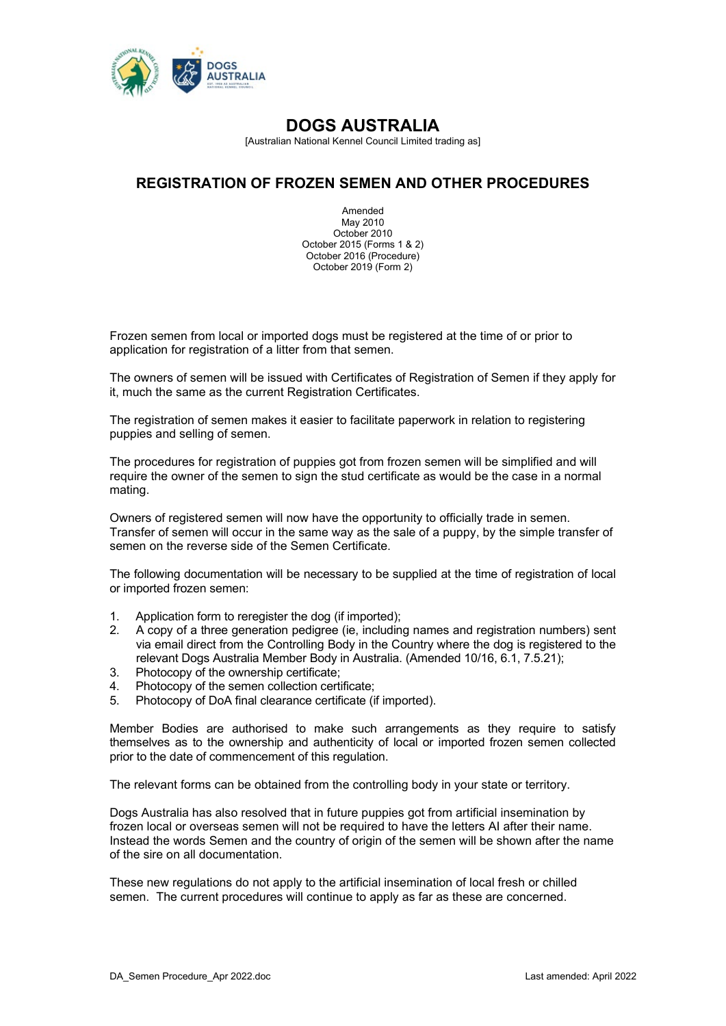

[Australian National Kennel Council Limited trading as]

## **REGISTRATION OF FROZEN SEMEN AND OTHER PROCEDURES**

Amended May 2010 October 2010 October 2015 (Forms 1 & 2) October 2016 (Procedure) October 2019 (Form 2)

Frozen semen from local or imported dogs must be registered at the time of or prior to application for registration of a litter from that semen.

The owners of semen will be issued with Certificates of Registration of Semen if they apply for it, much the same as the current Registration Certificates.

The registration of semen makes it easier to facilitate paperwork in relation to registering puppies and selling of semen.

The procedures for registration of puppies got from frozen semen will be simplified and will require the owner of the semen to sign the stud certificate as would be the case in a normal mating.

Owners of registered semen will now have the opportunity to officially trade in semen. Transfer of semen will occur in the same way as the sale of a puppy, by the simple transfer of semen on the reverse side of the Semen Certificate.

The following documentation will be necessary to be supplied at the time of registration of local or imported frozen semen:

- 1. Application form to reregister the dog (if imported);
- 2. A copy of a three generation pedigree (ie, including names and registration numbers) sent via email direct from the Controlling Body in the Country where the dog is registered to the relevant Dogs Australia Member Body in Australia. (Amended 10/16, 6.1, 7.5.21);
- 3. Photocopy of the ownership certificate;
- 4. Photocopy of the semen collection certificate;<br>5. Photocopy of DoA final clearance certificate (i
- 5. Photocopy of DoA final clearance certificate (if imported).

Member Bodies are authorised to make such arrangements as they require to satisfy themselves as to the ownership and authenticity of local or imported frozen semen collected prior to the date of commencement of this regulation.

The relevant forms can be obtained from the controlling body in your state or territory.

Dogs Australia has also resolved that in future puppies got from artificial insemination by frozen local or overseas semen will not be required to have the letters AI after their name. Instead the words Semen and the country of origin of the semen will be shown after the name of the sire on all documentation.

These new regulations do not apply to the artificial insemination of local fresh or chilled semen. The current procedures will continue to apply as far as these are concerned.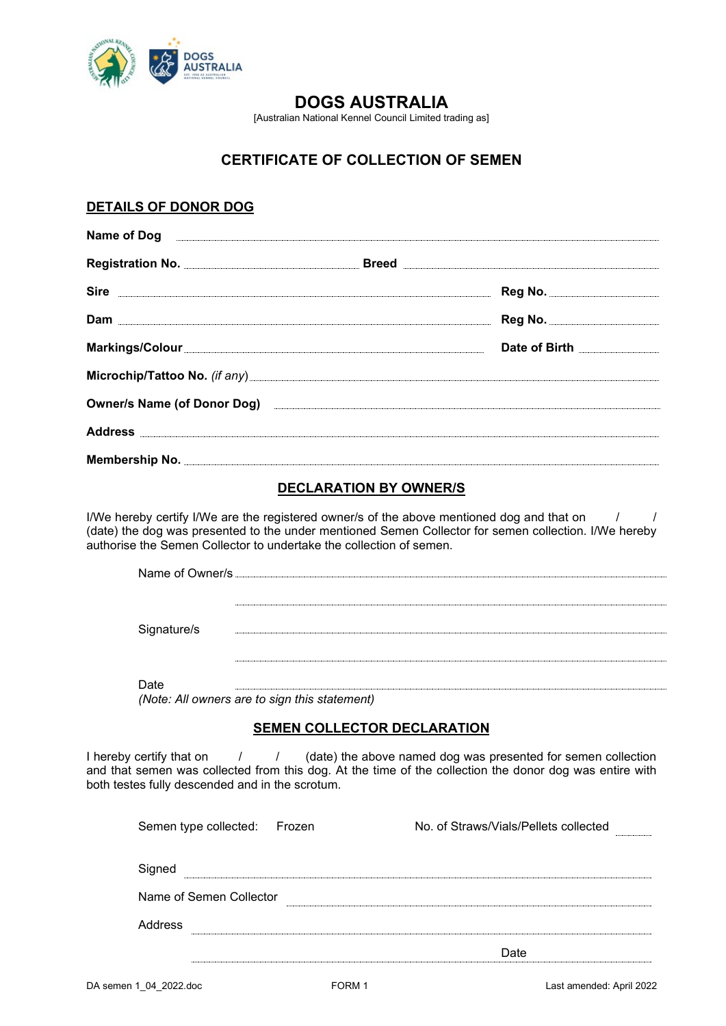

[Australian National Kennel Council Limited trading as]

# **CERTIFICATE OF COLLECTION OF SEMEN**

### **DETAILS OF DONOR DOG**

| Name of Dog <u>experiments and the contract of Dog</u>                                                            |                                                                                                                                                                                                                                      |
|-------------------------------------------------------------------------------------------------------------------|--------------------------------------------------------------------------------------------------------------------------------------------------------------------------------------------------------------------------------------|
|                                                                                                                   |                                                                                                                                                                                                                                      |
|                                                                                                                   |                                                                                                                                                                                                                                      |
|                                                                                                                   |                                                                                                                                                                                                                                      |
| Markings/Colour                                                                                                   | Date of Birth <b>Constanting Contract Constanting Constanting Constanting Constanting Constanting Constanting Constanting Constanting Constanting Constanting Constanting Constanting Constanting Constanting Constanting Consta</b> |
|                                                                                                                   |                                                                                                                                                                                                                                      |
| Owner/s Name (of Donor Dog) entertainment and the Contract of Donor Dog)                                          |                                                                                                                                                                                                                                      |
| Address Andreas Address Address Address Address Address Address Address Address Address Address Address Address A |                                                                                                                                                                                                                                      |
|                                                                                                                   |                                                                                                                                                                                                                                      |

#### **DECLARATION BY OWNER/S**

I/We hereby certify I/We are the registered owner/s of the above mentioned dog and that on  $1$ (date) the dog was presented to the under mentioned Semen Collector for semen collection. I/We hereby authorise the Semen Collector to undertake the collection of semen.

| Name of Owner/s |  |
|-----------------|--|
|                 |  |
| Signature/s     |  |
|                 |  |
| Date            |  |

*(Note: All owners are to sign this statement)*

#### **SEMEN COLLECTOR DECLARATION**

I hereby certify that on  $1 / 1$  (date) the above named dog was presented for semen collection and that semen was collected from this dog. At the time of the collection the donor dog was entire with both testes fully descended and in the scrotum.

| Semen type collected: Frozen | No. of Straws/Vials/Pellets collected<br> |
|------------------------------|-------------------------------------------|
| Signed                       |                                           |
| Name of Semen Collector      |                                           |
| Address                      |                                           |
|                              | Date                                      |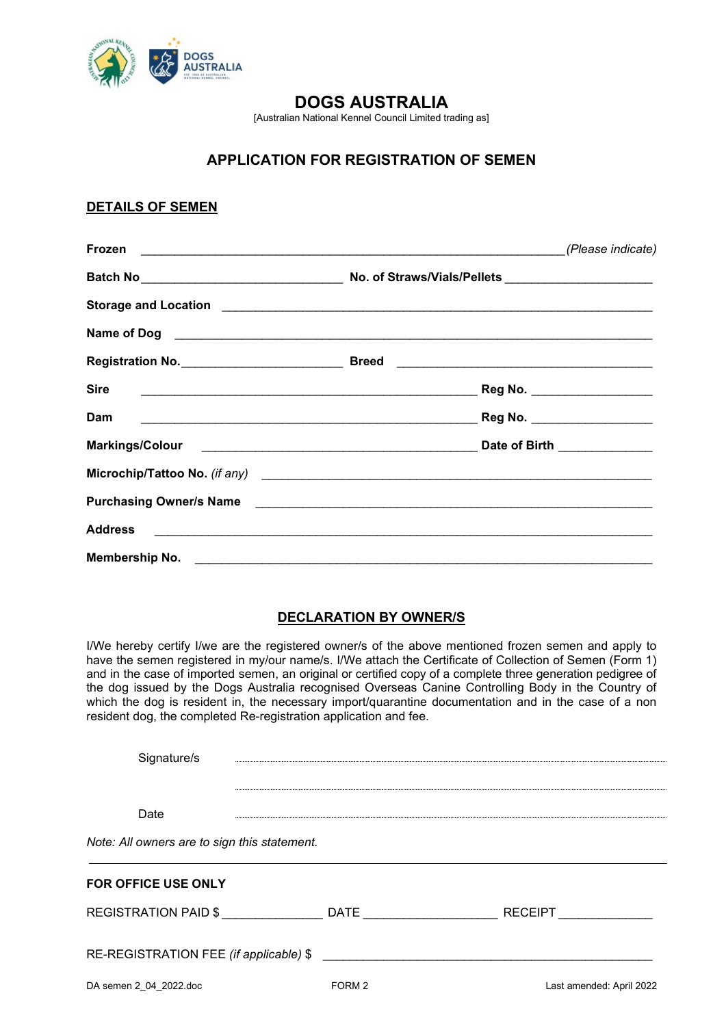

[Australian National Kennel Council Limited trading as]

# **APPLICATION FOR REGISTRATION OF SEMEN**

### **DETAILS OF SEMEN**

|                                                                                                                                                                                                                                     |  | (Please indicate)            |
|-------------------------------------------------------------------------------------------------------------------------------------------------------------------------------------------------------------------------------------|--|------------------------------|
|                                                                                                                                                                                                                                     |  |                              |
|                                                                                                                                                                                                                                     |  |                              |
| Name of Dog <u>expressions are constructed</u> and the set of Dog experience of Dog expressions and the set of Dog experience of Dog experience of Dog experience and the set of Dog experience of Dog experience of Dog experience |  |                              |
|                                                                                                                                                                                                                                     |  |                              |
| <b>Sire</b>                                                                                                                                                                                                                         |  |                              |
| <b>Dam</b>                                                                                                                                                                                                                          |  |                              |
|                                                                                                                                                                                                                                     |  | Date of Birth ______________ |
|                                                                                                                                                                                                                                     |  |                              |
|                                                                                                                                                                                                                                     |  |                              |
| <b>Address</b>                                                                                                                                                                                                                      |  |                              |
|                                                                                                                                                                                                                                     |  |                              |

#### **DECLARATION BY OWNER/S**

I/We hereby certify I/we are the registered owner/s of the above mentioned frozen semen and apply to have the semen registered in my/our name/s. I/We attach the Certificate of Collection of Semen (Form 1) and in the case of imported semen, an original or certified copy of a complete three generation pedigree of the dog issued by the Dogs Australia recognised Overseas Canine Controlling Body in the Country of which the dog is resident in, the necessary import/quarantine documentation and in the case of a non resident dog, the completed Re-registration application and fee.

| Signature/s                                  |        |                          |
|----------------------------------------------|--------|--------------------------|
| Date                                         |        |                          |
| Note: All owners are to sign this statement. |        |                          |
| <b>FOR OFFICE USE ONLY</b>                   |        |                          |
| REGISTRATION PAID \$                         | DATE   | <b>RECEIPT</b>           |
| RE-REGISTRATION FEE (if applicable) \$       |        |                          |
| DA semen 2 04 2022.doc                       | FORM 2 | Last amended: April 2022 |